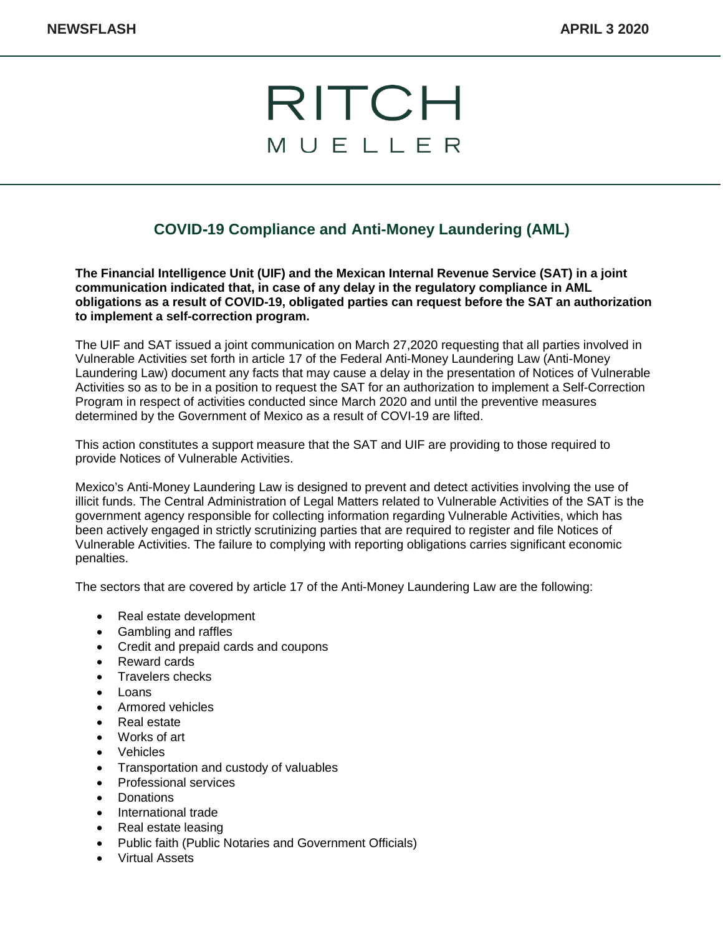## RITCH MUELLER

## **COVID-19 Compliance and Anti-Money Laundering (AML)**

**The Financial Intelligence Unit (UIF) and the Mexican Internal Revenue Service (SAT) in a joint communication indicated that, in case of any delay in the regulatory compliance in AML obligations as a result of COVID-19, obligated parties can request before the SAT an authorization to implement a self-correction program.**

The UIF and SAT issued a joint communication on March 27,2020 requesting that all parties involved in Vulnerable Activities set forth in article 17 of the Federal Anti-Money Laundering Law (Anti-Money Laundering Law) document any facts that may cause a delay in the presentation of Notices of Vulnerable Activities so as to be in a position to request the SAT for an authorization to implement a Self-Correction Program in respect of activities conducted since March 2020 and until the preventive measures determined by the Government of Mexico as a result of COVI-19 are lifted.

This action constitutes a support measure that the SAT and UIF are providing to those required to provide Notices of Vulnerable Activities.

Mexico's Anti-Money Laundering Law is designed to prevent and detect activities involving the use of illicit funds. The Central Administration of Legal Matters related to Vulnerable Activities of the SAT is the government agency responsible for collecting information regarding Vulnerable Activities, which has been actively engaged in strictly scrutinizing parties that are required to register and file Notices of Vulnerable Activities. The failure to complying with reporting obligations carries significant economic penalties.

The sectors that are covered by article 17 of the Anti-Money Laundering Law are the following:

- Real estate development
- Gambling and raffles
- Credit and prepaid cards and coupons
- Reward cards
- Travelers checks
- Loans
- Armored vehicles
- Real estate
- Works of art
- **Vehicles**
- Transportation and custody of valuables
- Professional services
- **Donations**
- International trade
- Real estate leasing
- Public faith (Public Notaries and Government Officials)
- Virtual Assets